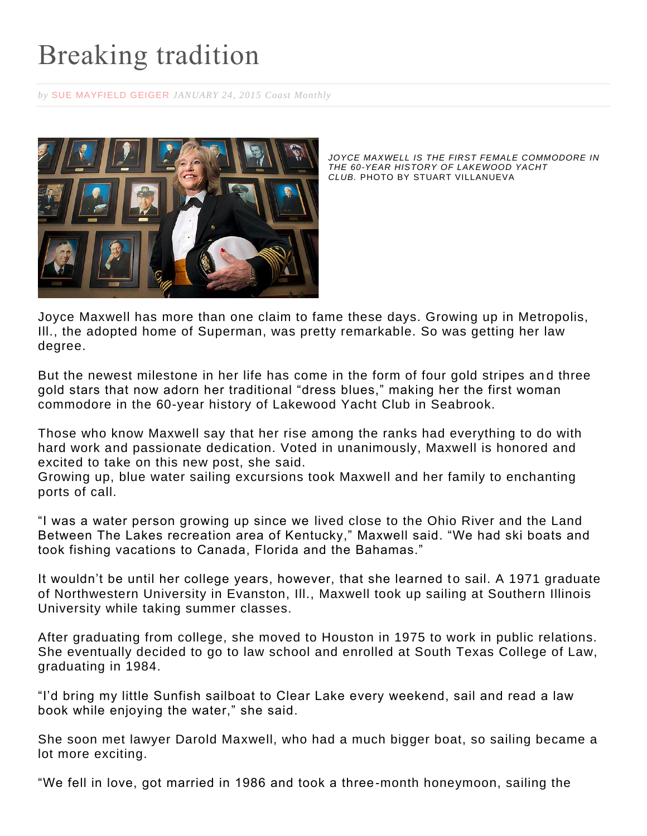## Breaking tradition

*by* [SUE MAYFIELD GEIGER](https://www.coastmonthly.com/author/suemayfieldgeiger/) *JANUARY 24, 2015 Coast Monthly*



*JOYCE MAXWELL IS THE FIRST FEMALE COMMODORE IN THE 60-YEAR HISTORY OF LAKEWOOD YACHT CLUB.* PHOTO BY STUART VILLANUEVA

Joyce Maxwell has more than one claim to fame these days. Growing up in Metropolis, Ill., the adopted home of Superman, was pretty remarkable. So was getting her law degree.

But the newest milestone in her life has come in the form of four gold stripes an d three gold stars that now adorn her traditional "dress blues," making her the first woman commodore in the 60-year history of Lakewood Yacht Club in Seabrook.

Those who know Maxwell say that her rise among the ranks had everything to do with hard work and passionate dedication. Voted in unanimously, Maxwell is honored and excited to take on this new post, she said.

Growing up, blue water sailing excursions took Maxwell and her family to enchanting ports of call.

"I was a water person growing up since we lived close to the Ohio River and the Land Between The Lakes recreation area of Kentucky," Maxwell said. "We had ski boats and took fishing vacations to Canada, Florida and the Bahamas."

It wouldn't be until her college years, however, that she learned to sail. A 1971 graduate of Northwestern University in Evanston, Ill., Maxwell took up sailing at Southern Illinois University while taking summer classes.

After graduating from college, she moved to Houston in 1975 to work in public relations. She eventually decided to go to law school and enrolled at South Texas College of Law, graduating in 1984.

"I'd bring my little Sunfish sailboat to Clear Lake every weekend, sail and read a law book while enjoying the water," she said.

She soon met lawyer Darold Maxwell, who had a much bigger boat, so sailing became a lot more exciting.

"We fell in love, got married in 1986 and took a three-month honeymoon, sailing the